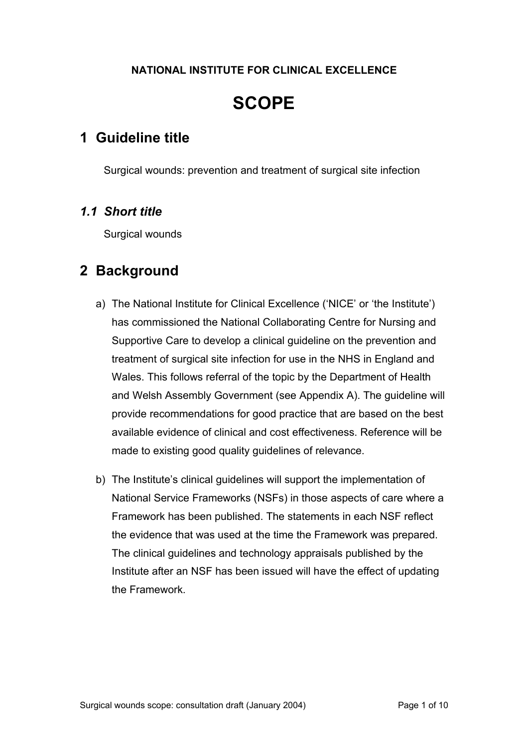#### **NATIONAL INSTITUTE FOR CLINICAL EXCELLENCE**

# **SCOPE**

## **1 Guideline title**

Surgical wounds: prevention and treatment of surgical site infection

### *1.1 Short title*

Surgical wounds

## **2 Background**

- a) The National Institute for Clinical Excellence ('NICE' or 'the Institute') has commissioned the National Collaborating Centre for Nursing and Supportive Care to develop a clinical guideline on the prevention and treatment of surgical site infection for use in the NHS in England and Wales. This follows referral of the topic by the Department of Health and Welsh Assembly Government (see Appendix A). The guideline will provide recommendations for good practice that are based on the best available evidence of clinical and cost effectiveness. Reference will be made to existing good quality guidelines of relevance.
- b) The Institute's clinical guidelines will support the implementation of National Service Frameworks (NSFs) in those aspects of care where a Framework has been published. The statements in each NSF reflect the evidence that was used at the time the Framework was prepared. The clinical guidelines and technology appraisals published by the Institute after an NSF has been issued will have the effect of updating the Framework.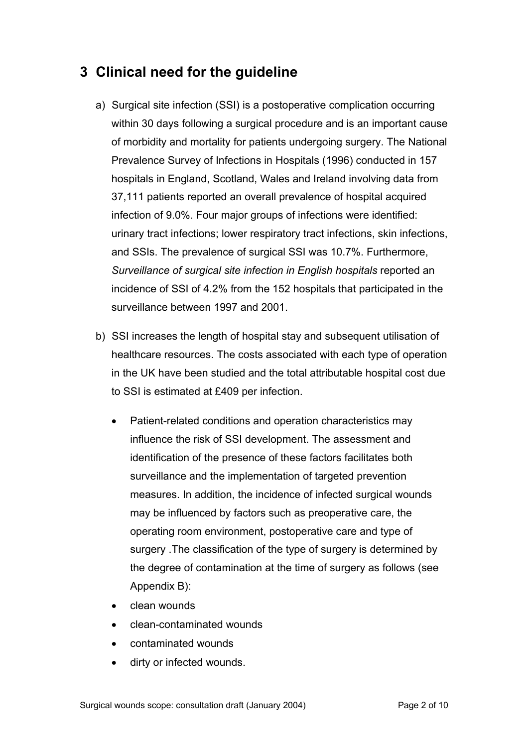# **3 Clinical need for the guideline**

- a) Surgical site infection (SSI) is a postoperative complication occurring within 30 days following a surgical procedure and is an important cause of morbidity and mortality for patients undergoing surgery. The National Prevalence Survey of Infections in Hospitals (1996) conducted in 157 hospitals in England, Scotland, Wales and Ireland involving data from 37,111 patients reported an overall prevalence of hospital acquired infection of 9.0%. Four major groups of infections were identified: urinary tract infections; lower respiratory tract infections, skin infections, and SSIs. The prevalence of surgical SSI was 10.7%. Furthermore, *Surveillance of surgical site infection in English hospitals* reported an incidence of SSI of 4.2% from the 152 hospitals that participated in the surveillance between 1997 and 2001.
- b) SSI increases the length of hospital stay and subsequent utilisation of healthcare resources. The costs associated with each type of operation in the UK have been studied and the total attributable hospital cost due to SSI is estimated at £409 per infection.
	- Patient-related conditions and operation characteristics may influence the risk of SSI development. The assessment and identification of the presence of these factors facilitates both surveillance and the implementation of targeted prevention measures. In addition, the incidence of infected surgical wounds may be influenced by factors such as preoperative care, the operating room environment, postoperative care and type of surgery .The classification of the type of surgery is determined by the degree of contamination at the time of surgery as follows (see Appendix B):
	- clean wounds
	- clean-contaminated wounds
	- contaminated wounds
	- dirty or infected wounds.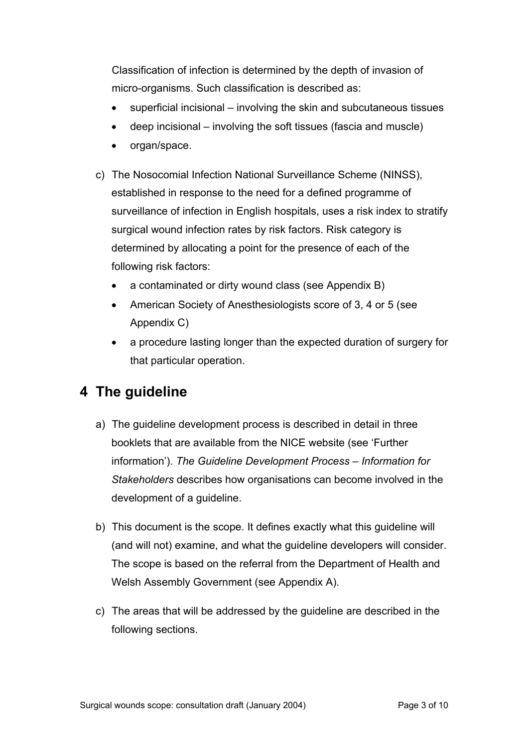Classification of infection is determined by the depth of invasion of micro-organisms. Such classification is described as:

- superficial incisional involving the skin and subcutaneous tissues
- deep incisional involving the soft tissues (fascia and muscle)
- organ/space.
- c) The Nosocomial Infection National Surveillance Scheme (NINSS), established in response to the need for a defined programme of surveillance of infection in English hospitals, uses a risk index to stratify surgical wound infection rates by risk factors. Risk category is determined by allocating a point for the presence of each of the following risk factors:
	- a contaminated or dirty wound class (see Appendix B)
	- American Society of Anesthesiologists score of 3, 4 or 5 (see Appendix C)
	- a procedure lasting longer than the expected duration of surgery for that particular operation.

# **4 The guideline**

- a) The guideline development process is described in detail in three booklets that are available from the NICE website (see 'Further information'). *The Guideline Development Process – Information for Stakeholders* describes how organisations can become involved in the development of a guideline.
- b) This document is the scope. It defines exactly what this guideline will (and will not) examine, and what the guideline developers will consider. The scope is based on the referral from the Department of Health and Welsh Assembly Government (see Appendix A).
- c) The areas that will be addressed by the guideline are described in the following sections.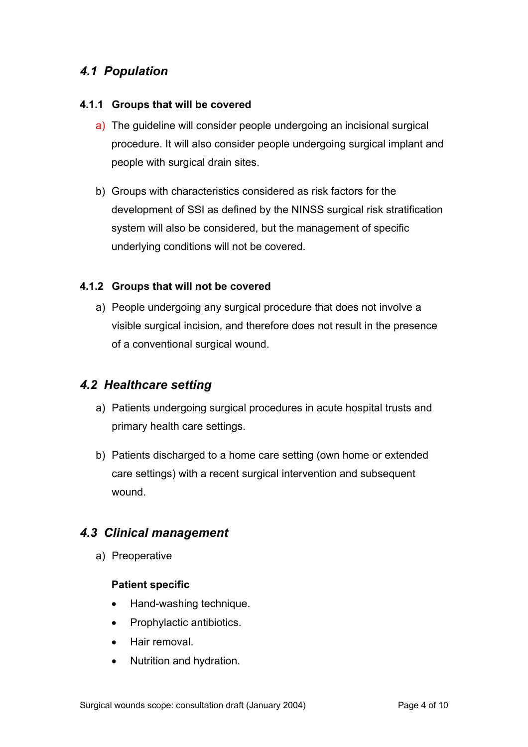### *4.1 Population*

#### **4.1.1 Groups that will be covered**

- a) The guideline will consider people undergoing an incisional surgical procedure. It will also consider people undergoing surgical implant and people with surgical drain sites.
- b) Groups with characteristics considered as risk factors for the development of SSI as defined by the NINSS surgical risk stratification system will also be considered, but the management of specific underlying conditions will not be covered.

#### **4.1.2 Groups that will not be covered**

a) People undergoing any surgical procedure that does not involve a visible surgical incision, and therefore does not result in the presence of a conventional surgical wound.

### *4.2 Healthcare setting*

- a) Patients undergoing surgical procedures in acute hospital trusts and primary health care settings.
- b) Patients discharged to a home care setting (own home or extended care settings) with a recent surgical intervention and subsequent wound.

### *4.3 Clinical management*

a) Preoperative

#### **Patient specific**

- Hand-washing technique.
- Prophylactic antibiotics.
- Hair removal.
- Nutrition and hydration.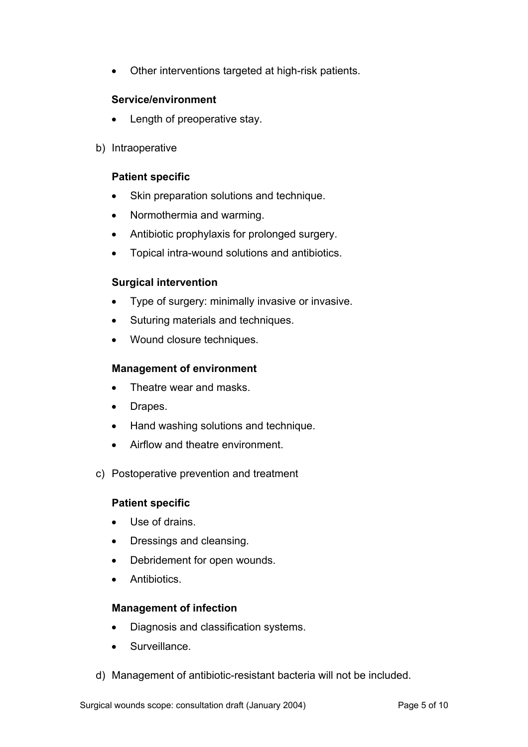• Other interventions targeted at high-risk patients.

#### **Service/environment**

- Length of preoperative stay.
- b) Intraoperative

#### **Patient specific**

- Skin preparation solutions and technique.
- Normothermia and warming.
- Antibiotic prophylaxis for prolonged surgery.
- Topical intra-wound solutions and antibiotics.

#### **Surgical intervention**

- Type of surgery: minimally invasive or invasive.
- Suturing materials and techniques.
- Wound closure techniques.

#### **Management of environment**

- Theatre wear and masks.
- Drapes.
- Hand washing solutions and technique.
- Airflow and theatre environment.
- c) Postoperative prevention and treatment

#### **Patient specific**

- Use of drains.
- Dressings and cleansing.
- Debridement for open wounds.
- **Antibiotics**

#### **Management of infection**

- Diagnosis and classification systems.
- Surveillance.
- d) Management of antibiotic-resistant bacteria will not be included.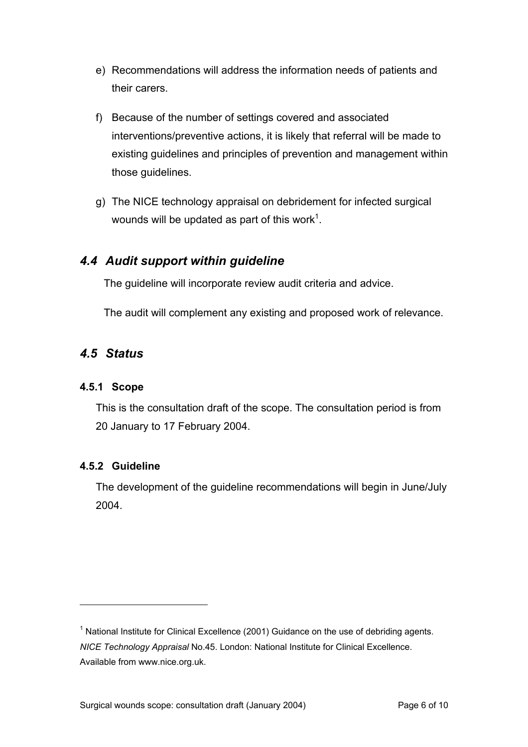- e) Recommendations will address the information needs of patients and their carers.
- f) Because of the number of settings covered and associated interventions/preventive actions, it is likely that referral will be made to existing guidelines and principles of prevention and management within those guidelines.
- g) The NICE technology appraisal on debridement for infected surgical wounds will be updated as part of this work<sup>[1](#page-5-0)</sup>.

### *4.4 Audit support within guideline*

The guideline will incorporate review audit criteria and advice.

The audit will complement any existing and proposed work of relevance.

### *4.5 Status*

#### **4.5.1 Scope**

This is the consultation draft of the scope. The consultation period is from 20 January to 17 February 2004.

#### **4.5.2 Guideline**

 $\overline{a}$ 

The development of the guideline recommendations will begin in June/July 2004.

<span id="page-5-0"></span><sup>&</sup>lt;sup>1</sup> National Institute for Clinical Excellence (2001) Guidance on the use of debriding agents. *NICE Technology Appraisal* No.45. London: National Institute for Clinical Excellence. Available from www.nice.org.uk.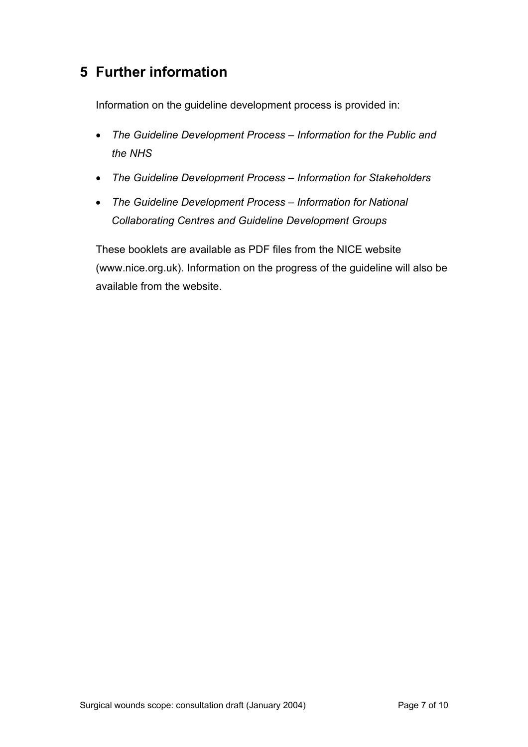## **5 Further information**

Information on the guideline development process is provided in:

- *The Guideline Development Process Information for the Public and the NHS*
- *The Guideline Development Process Information for Stakeholders*
- *The Guideline Development Process Information for National Collaborating Centres and Guideline Development Groups*

These booklets are available as PDF files from the NICE website (www.nice.org.uk). Information on the progress of the guideline will also be available from the website.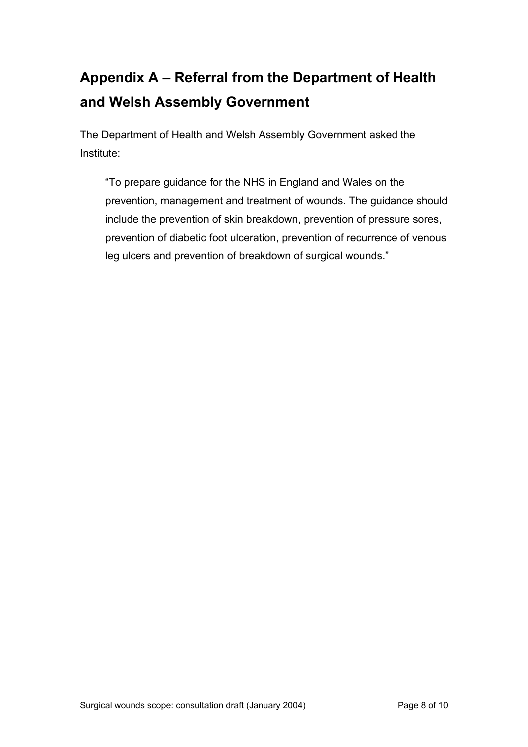# **Appendix A – Referral from the Department of Health and Welsh Assembly Government**

The Department of Health and Welsh Assembly Government asked the Institute:

"To prepare guidance for the NHS in England and Wales on the prevention, management and treatment of wounds. The guidance should include the prevention of skin breakdown, prevention of pressure sores, prevention of diabetic foot ulceration, prevention of recurrence of venous leg ulcers and prevention of breakdown of surgical wounds."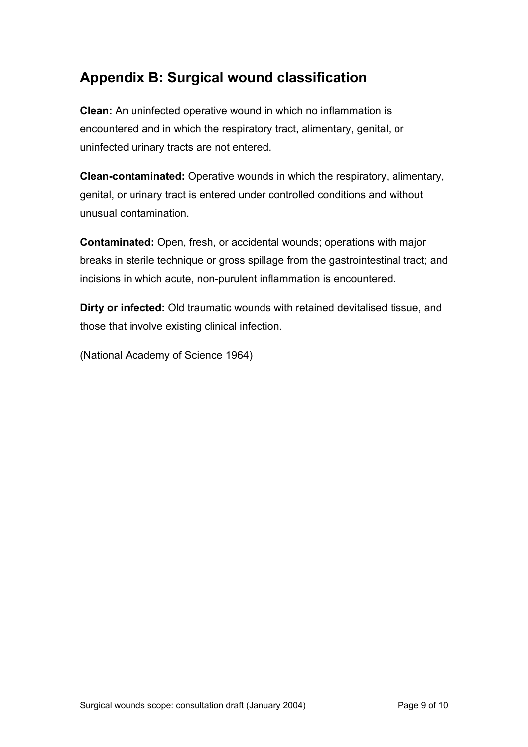# **Appendix B: Surgical wound classification**

**Clean:** An uninfected operative wound in which no inflammation is encountered and in which the respiratory tract, alimentary, genital, or uninfected urinary tracts are not entered.

**Clean-contaminated:** Operative wounds in which the respiratory, alimentary, genital, or urinary tract is entered under controlled conditions and without unusual contamination.

**Contaminated:** Open, fresh, or accidental wounds; operations with major breaks in sterile technique or gross spillage from the gastrointestinal tract; and incisions in which acute, non-purulent inflammation is encountered.

**Dirty or infected:** Old traumatic wounds with retained devitalised tissue, and those that involve existing clinical infection.

(National Academy of Science 1964)